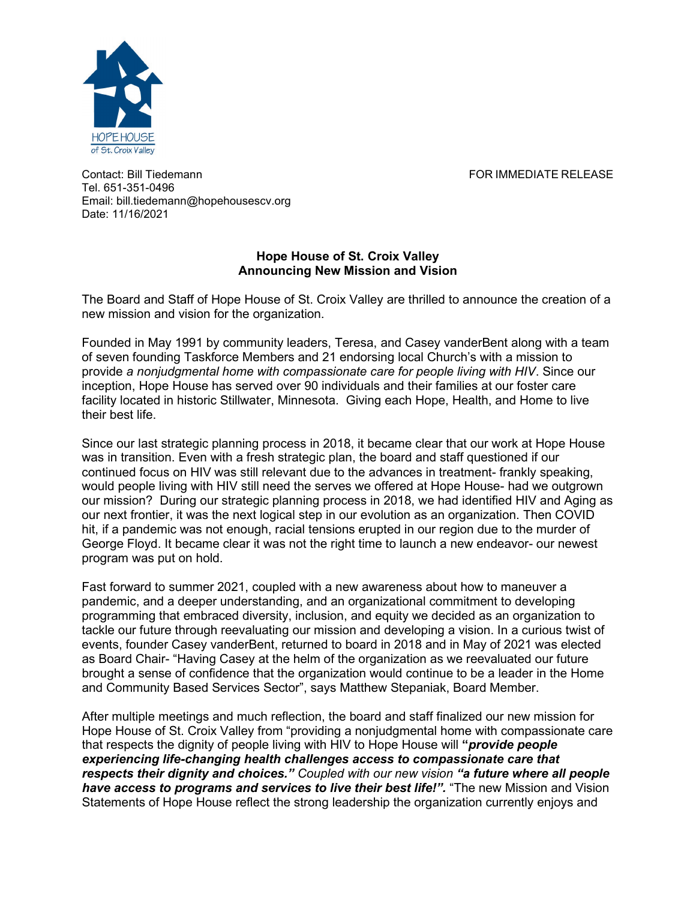

Contact: Bill Tiedemann FOR IMMEDIATE RELEASE Tel. 651-351-0496 Email: bill.tiedemann@hopehousescv.org Date: 11/16/2021

## **Hope House of St. Croix Valley Announcing New Mission and Vision**

The Board and Staff of Hope House of St. Croix Valley are thrilled to announce the creation of a new mission and vision for the organization.

Founded in May 1991 by community leaders, Teresa, and Casey vanderBent along with a team of seven founding Taskforce Members and 21 endorsing local Church's with a mission to provide *a nonjudgmental home with compassionate care for people living with HIV*. Since our inception, Hope House has served over 90 individuals and their families at our foster care facility located in historic Stillwater, Minnesota. Giving each Hope, Health, and Home to live their best life.

Since our last strategic planning process in 2018, it became clear that our work at Hope House was in transition. Even with a fresh strategic plan, the board and staff questioned if our continued focus on HIV was still relevant due to the advances in treatment- frankly speaking, would people living with HIV still need the serves we offered at Hope House- had we outgrown our mission? During our strategic planning process in 2018, we had identified HIV and Aging as our next frontier, it was the next logical step in our evolution as an organization. Then COVID hit, if a pandemic was not enough, racial tensions erupted in our region due to the murder of George Floyd. It became clear it was not the right time to launch a new endeavor- our newest program was put on hold.

Fast forward to summer 2021, coupled with a new awareness about how to maneuver a pandemic, and a deeper understanding, and an organizational commitment to developing programming that embraced diversity, inclusion, and equity we decided as an organization to tackle our future through reevaluating our mission and developing a vision. In a curious twist of events, founder Casey vanderBent, returned to board in 2018 and in May of 2021 was elected as Board Chair- "Having Casey at the helm of the organization as we reevaluated our future brought a sense of confidence that the organization would continue to be a leader in the Home and Community Based Services Sector", says Matthew Stepaniak, Board Member.

After multiple meetings and much reflection, the board and staff finalized our new mission for Hope House of St. Croix Valley from "providing a nonjudgmental home with compassionate care that respects the dignity of people living with HIV to Hope House will **"***provide people experiencing life-changing health challenges access to compassionate care that respects their dignity and choices." Coupled with our new vision "a future where all people have access to programs and services to live their best life!".* "The new Mission and Vision Statements of Hope House reflect the strong leadership the organization currently enjoys and